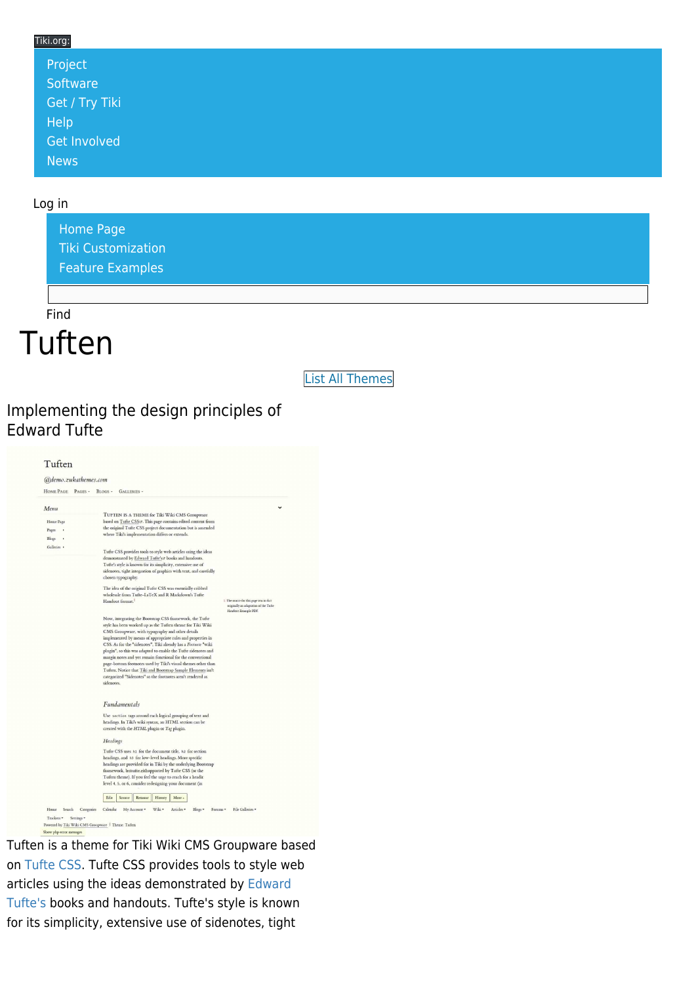#### Tiki.org:

| Project             |  |  |  |
|---------------------|--|--|--|
| Software            |  |  |  |
| Get / Try Tiki      |  |  |  |
| Help                |  |  |  |
| <b>Get Involved</b> |  |  |  |
| <b>News</b>         |  |  |  |

#### Log in

[Home Page](https://themes.tiki.org/Themes) [Tiki Customization](https://themes.tiki.org/Tiki-Customization) [Feature Examples](#page--1-0)

Find

**Tuften** 

[List All Themes](https://themes.tiki.org/marketplace%20themes)

#### Implementing the design principles of Edward Tufte



Tuften is a theme for Tiki Wiki CMS Groupware based on [Tufte CSS.](https://github.com/daveliepmann/tufte-css) Tufte CSS provides tools to style web articles using the ideas demonstrated by [Edward](https://www.edwardtufte.com/tufte/) [Tufte's](https://www.edwardtufte.com/tufte/) books and handouts. Tufte's style is known for its simplicity, extensive use of sidenotes, tight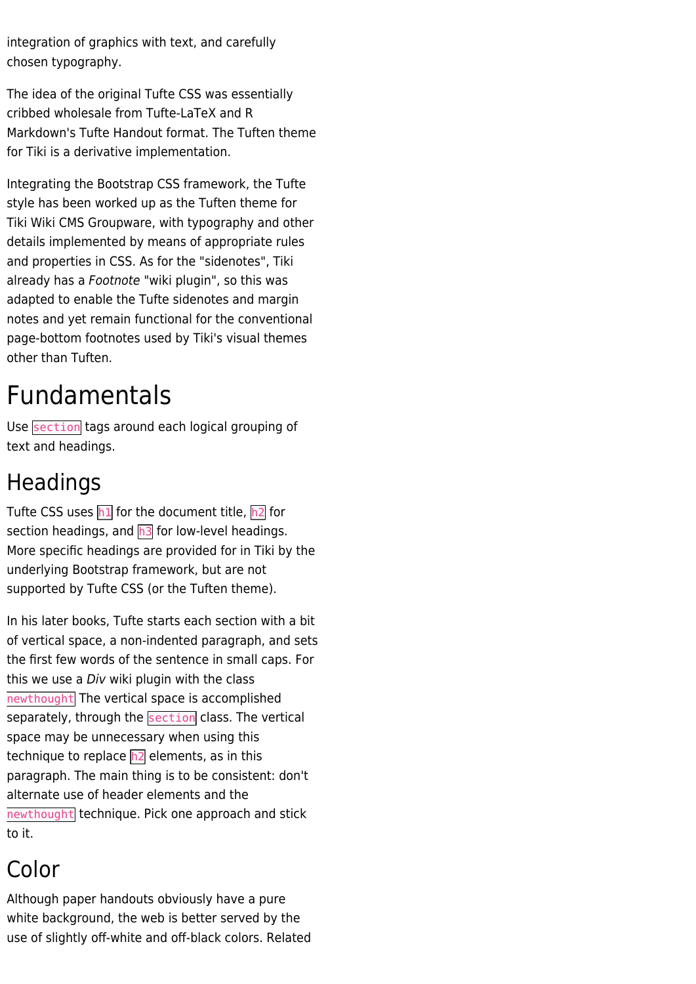integration of graphics with text, and carefully chosen typography.

The idea of the original Tufte CSS was essentially cribbed wholesale from Tufte-LaTeX and R Markdown's Tufte Handout format. The Tuften theme for Tiki is a derivative implementation.

Integrating the Bootstrap CSS framework, the Tufte style has been worked up as the Tuften theme for Tiki Wiki CMS Groupware, with typography and other details implemented by means of appropriate rules and properties in CSS. As for the "sidenotes", Tiki already has a Footnote "wiki plugin", so this was adapted to enable the Tufte sidenotes and margin notes and yet remain functional for the conventional page-bottom footnotes used by Tiki's visual themes other than Tuften.

# Fundamentals

Use section tags around each logical grouping of text and headings.

## Headings

Tufte CSS uses  $h1$  for the document title,  $h2$  for section headings, and  $\overline{h3}$  for low-level headings. More specific headings are provided for in Tiki by the underlying Bootstrap framework, but are not supported by Tufte CSS (or the Tuften theme).

In his later books, Tufte starts each section with a bit of vertical space, a non-indented paragraph, and sets the first few words of the sentence in small caps. For this we use a *Div* wiki plugin with the class newthought The vertical space is accomplished separately, through the section class. The vertical space may be unnecessary when using this technique to replace  $h2$  elements, as in this paragraph. The main thing is to be consistent: don't alternate use of header elements and the newthought technique. Pick one approach and stick to it.

## Color

Although paper handouts obviously have a pure white background, the web is better served by the use of slightly off-white and off-black colors. Related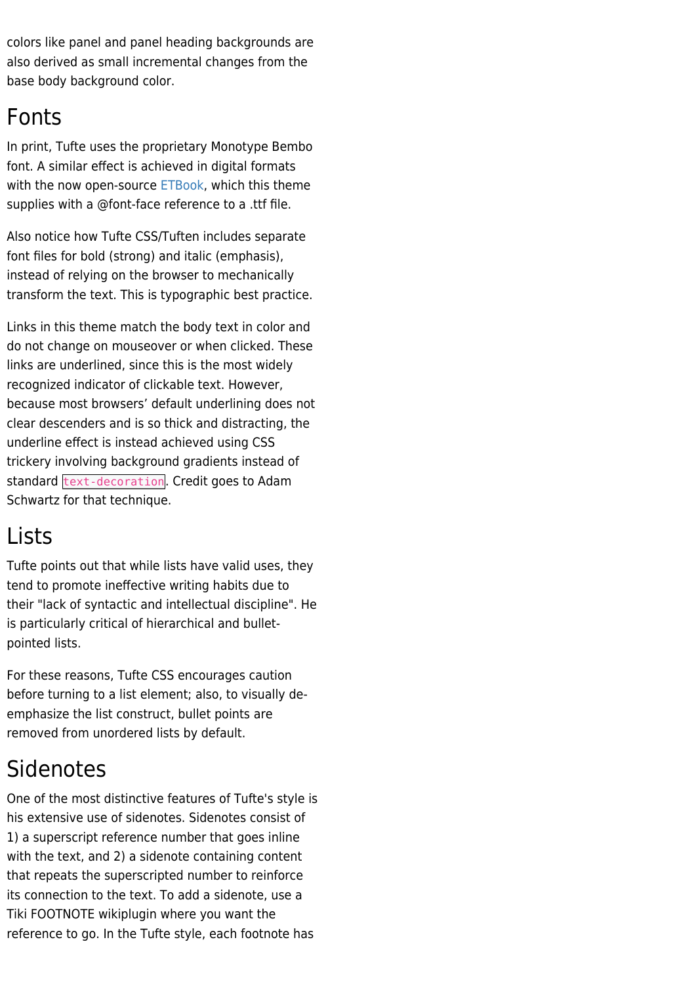colors like panel and panel heading backgrounds are also derived as small incremental changes from the base body background color.

#### Fonts

In print, Tufte uses the proprietary Monotype Bembo font. A similar effect is achieved in digital formats with the now open-source [ETBook](https://github.com/edwardtufte/et-book), which this theme supplies with a @font-face reference to a .ttf file.

Also notice how Tufte CSS/Tuften includes separate font files for bold (strong) and italic (emphasis), instead of relying on the browser to mechanically transform the text. This is typographic best practice.

Links in this theme match the body text in color and do not change on mouseover or when clicked. These links are underlined, since this is the most widely recognized indicator of clickable text. However, because most browsers' default underlining does not clear descenders and is so thick and distracting, the underline effect is instead achieved using CSS trickery involving background gradients instead of standard text-decoration. Credit goes to Adam Schwartz for that technique.

### Lists

Tufte points out that while lists have valid uses, they tend to promote ineffective writing habits due to their "lack of syntactic and intellectual discipline". He is particularly critical of hierarchical and bulletpointed lists.

For these reasons, Tufte CSS encourages caution before turning to a list element; also, to visually deemphasize the list construct, bullet points are removed from unordered lists by default.

## Sidenotes

One of the most distinctive features of Tufte's style is his extensive use of sidenotes. Sidenotes consist of 1) a superscript reference number that goes inline with the text, and 2) a sidenote containing content that repeats the superscripted number to reinforce its connection to the text. To add a sidenote, use a Tiki FOOTNOTE wikiplugin where you want the reference to go. In the Tufte style, each footnote has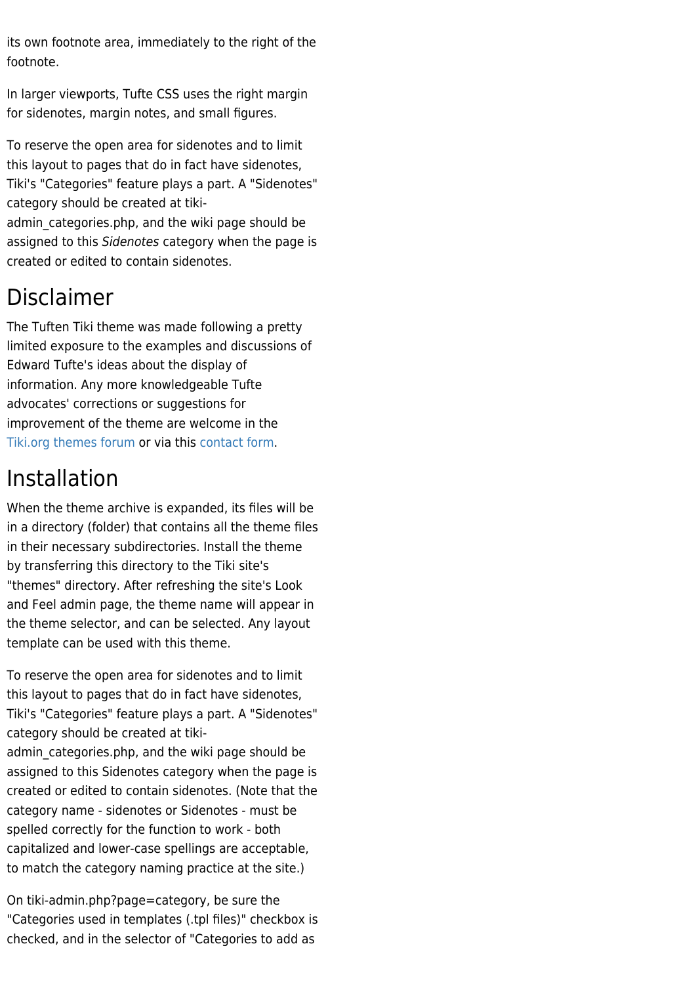its own footnote area, immediately to the right of the footnote.

In larger viewports, Tufte CSS uses the right margin for sidenotes, margin notes, and small figures.

To reserve the open area for sidenotes and to limit this layout to pages that do in fact have sidenotes, Tiki's "Categories" feature plays a part. A "Sidenotes" category should be created at tikiadmin categories.php, and the wiki page should be assigned to this Sidenotes category when the page is created or edited to contain sidenotes.

## Disclaimer

The Tuften Tiki theme was made following a pretty limited exposure to the examples and discussions of Edward Tufte's ideas about the display of information. Any more knowledgeable Tufte advocates' corrections or suggestions for improvement of the theme are welcome in the [Tiki.org themes forum](https://tiki.org/forum14) or via this [contact form](https://zukathemes.com/Contact%20us).

### Installation

When the theme archive is expanded, its files will be in a directory (folder) that contains all the theme files in their necessary subdirectories. Install the theme by transferring this directory to the Tiki site's "themes" directory. After refreshing the site's Look and Feel admin page, the theme name will appear in the theme selector, and can be selected. Any layout template can be used with this theme.

To reserve the open area for sidenotes and to limit this layout to pages that do in fact have sidenotes, Tiki's "Categories" feature plays a part. A "Sidenotes" category should be created at tikiadmin categories.php, and the wiki page should be assigned to this Sidenotes category when the page is created or edited to contain sidenotes. (Note that the category name - sidenotes or Sidenotes - must be spelled correctly for the function to work - both capitalized and lower-case spellings are acceptable, to match the category naming practice at the site.)

On tiki-admin.php?page=category, be sure the "Categories used in templates (.tpl files)" checkbox is checked, and in the selector of "Categories to add as